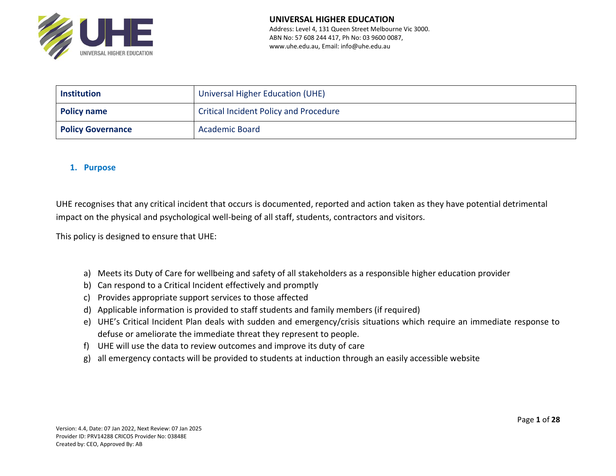

| <b>Institution</b>                                           | Universal Higher Education (UHE) |  |
|--------------------------------------------------------------|----------------------------------|--|
| <b>Critical Incident Policy and Procedure</b><br>Policy name |                                  |  |
| <b>Policy Governance</b>                                     | <b>Academic Board</b>            |  |

## **1. Purpose**

UHE recognises that any critical incident that occurs is documented, reported and action taken as they have potential detrimental impact on the physical and psychological well-being of all staff, students, contractors and visitors.

This policy is designed to ensure that UHE:

- a) Meets its Duty of Care for wellbeing and safety of all stakeholders as a responsible higher education provider
- b) Can respond to a Critical Incident effectively and promptly
- c) Provides appropriate support services to those affected
- d) Applicable information is provided to staff students and family members (if required)
- e) UHE's Critical Incident Plan deals with sudden and emergency/crisis situations which require an immediate response to defuse or ameliorate the immediate threat they represent to people.
- f) UHE will use the data to review outcomes and improve its duty of care
- g) all emergency contacts will be provided to students at induction through an easily accessible website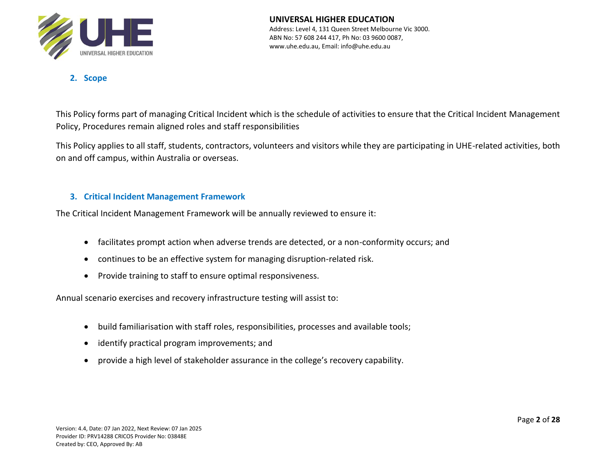

**UNIVERSAL HIGHER EDUCATION** Address: Level 4, 131 Queen Street Melbourne Vic 3000. ABN No: 57 608 244 417, Ph No: 03 9600 0087, www.uhe.edu.au, Email: info@uhe.edu.au

**2. Scope**

This Policy forms part of managing Critical Incident which is the schedule of activities to ensure that the Critical Incident Management Policy, Procedures remain aligned roles and staff responsibilities

This Policy applies to all staff, students, contractors, volunteers and visitors while they are participating in UHE-related activities, both on and off campus, within Australia or overseas.

## **3. Critical Incident Management Framework**

The Critical Incident Management Framework will be annually reviewed to ensure it:

- facilitates prompt action when adverse trends are detected, or a non-conformity occurs; and
- continues to be an effective system for managing disruption-related risk.
- Provide training to staff to ensure optimal responsiveness.

Annual scenario exercises and recovery infrastructure testing will assist to:

- build familiarisation with staff roles, responsibilities, processes and available tools;
- identify practical program improvements; and
- provide a high level of stakeholder assurance in the college's recovery capability.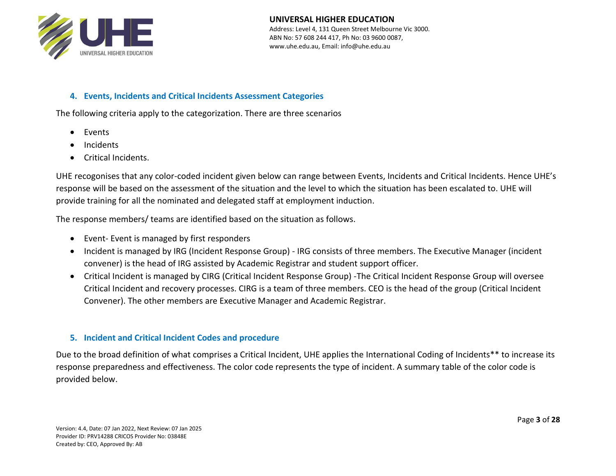

#### **UNIVERSAL HIGHER EDUCATION** Address: Level 4, 131 Queen Street Melbourne Vic 3000. ABN No: 57 608 244 417, Ph No: 03 9600 0087,

www.uhe.edu.au, Email: info@uhe.edu.au

### **4. Events, Incidents and Critical Incidents Assessment Categories**

The following criteria apply to the categorization. There are three scenarios

- Events
- Incidents
- Critical Incidents.

UHE recogonises that any color-coded incident given below can range between Events, Incidents and Critical Incidents. Hence UHE's response will be based on the assessment of the situation and the level to which the situation has been escalated to. UHE will provide training for all the nominated and delegated staff at employment induction.

The response members/ teams are identified based on the situation as follows.

- Event- Event is managed by first responders
- Incident is managed by IRG (Incident Response Group) IRG consists of three members. The Executive Manager (incident convener) is the head of IRG assisted by Academic Registrar and student support officer.
- Critical Incident is managed by CIRG (Critical Incident Response Group) -The Critical Incident Response Group will oversee Critical Incident and recovery processes. CIRG is a team of three members. CEO is the head of the group (Critical Incident Convener). The other members are Executive Manager and Academic Registrar.

### **5. Incident and Critical Incident Codes and procedure**

Due to the broad definition of what comprises a Critical Incident, UHE applies the International Coding of Incidents\*\* to increase its response preparedness and effectiveness. The color code represents the type of incident. A summary table of the color code is provided below.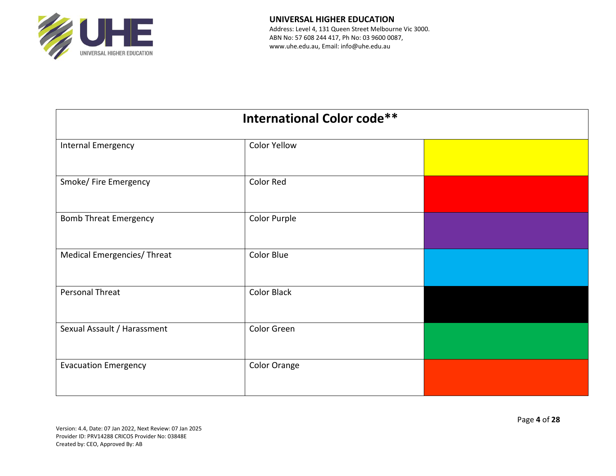

| <b>International Color code**</b> |                    |  |  |
|-----------------------------------|--------------------|--|--|
| Internal Emergency                | Color Yellow       |  |  |
| Smoke/ Fire Emergency             | <b>Color Red</b>   |  |  |
| <b>Bomb Threat Emergency</b>      | Color Purple       |  |  |
| Medical Emergencies/Threat        | Color Blue         |  |  |
| Personal Threat                   | <b>Color Black</b> |  |  |
| Sexual Assault / Harassment       | Color Green        |  |  |
| <b>Evacuation Emergency</b>       | Color Orange       |  |  |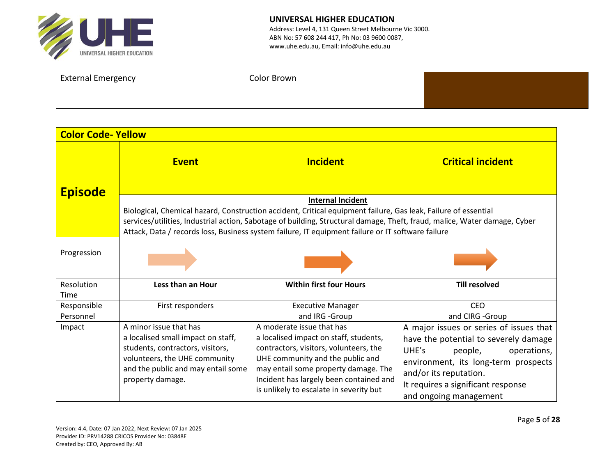

| <b>External Emergency</b> | Color Brown |  |
|---------------------------|-------------|--|
|                           |             |  |
|                           |             |  |

| <b>Color Code-Yellow</b> |                                                                                                                                                                                             |                                                                                                                                                                                                                                                                                                                                                                              |                                                                                                                                                                                                                                                       |
|--------------------------|---------------------------------------------------------------------------------------------------------------------------------------------------------------------------------------------|------------------------------------------------------------------------------------------------------------------------------------------------------------------------------------------------------------------------------------------------------------------------------------------------------------------------------------------------------------------------------|-------------------------------------------------------------------------------------------------------------------------------------------------------------------------------------------------------------------------------------------------------|
| <b>Episode</b>           | <b>Event</b>                                                                                                                                                                                | <b>Incident</b>                                                                                                                                                                                                                                                                                                                                                              | <b>Critical incident</b>                                                                                                                                                                                                                              |
|                          |                                                                                                                                                                                             | <b>Internal Incident</b><br>Biological, Chemical hazard, Construction accident, Critical equipment failure, Gas leak, Failure of essential<br>services/utilities, Industrial action, Sabotage of building, Structural damage, Theft, fraud, malice, Water damage, Cyber<br>Attack, Data / records loss, Business system failure, IT equipment failure or IT software failure |                                                                                                                                                                                                                                                       |
| Progression              |                                                                                                                                                                                             |                                                                                                                                                                                                                                                                                                                                                                              |                                                                                                                                                                                                                                                       |
| Resolution<br>Time       | Less than an Hour                                                                                                                                                                           | <b>Within first four Hours</b>                                                                                                                                                                                                                                                                                                                                               | <b>Till resolved</b>                                                                                                                                                                                                                                  |
| Responsible<br>Personnel | First responders                                                                                                                                                                            | <b>Executive Manager</b><br>and IRG -Group                                                                                                                                                                                                                                                                                                                                   | <b>CEO</b><br>and CIRG -Group                                                                                                                                                                                                                         |
| Impact                   | A minor issue that has<br>a localised small impact on staff,<br>students, contractors, visitors,<br>volunteers, the UHE community<br>and the public and may entail some<br>property damage. | A moderate issue that has<br>a localised impact on staff, students,<br>contractors, visitors, volunteers, the<br>UHE community and the public and<br>may entail some property damage. The<br>Incident has largely been contained and<br>is unlikely to escalate in severity but                                                                                              | A major issues or series of issues that<br>have the potential to severely damage<br>UHE's<br>operations,<br>people,<br>environment, its long-term prospects<br>and/or its reputation.<br>It requires a significant response<br>and ongoing management |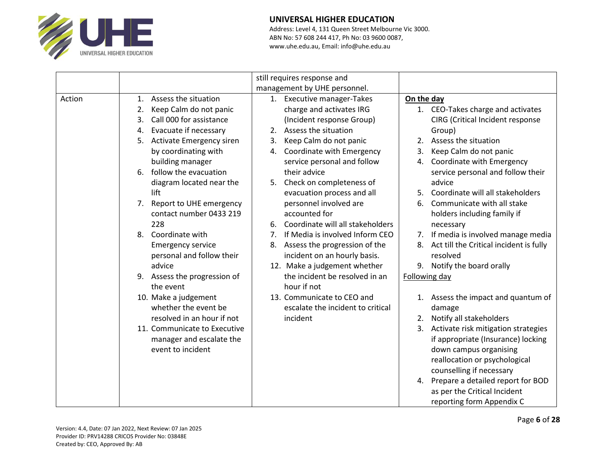

|        |                                                                                                                                                                                                                                                                                                                                                                                                                 | still requires response and<br>management by UHE personnel.                                                                                                                                                                                                                                                                                                                                                                                                           |                                                                                                                                                                                                                                                                                                                                                                                                                                                               |
|--------|-----------------------------------------------------------------------------------------------------------------------------------------------------------------------------------------------------------------------------------------------------------------------------------------------------------------------------------------------------------------------------------------------------------------|-----------------------------------------------------------------------------------------------------------------------------------------------------------------------------------------------------------------------------------------------------------------------------------------------------------------------------------------------------------------------------------------------------------------------------------------------------------------------|---------------------------------------------------------------------------------------------------------------------------------------------------------------------------------------------------------------------------------------------------------------------------------------------------------------------------------------------------------------------------------------------------------------------------------------------------------------|
| Action | Assess the situation<br>1.<br>Keep Calm do not panic<br>2.<br>Call 000 for assistance<br>3.<br>Evacuate if necessary<br>4.<br>Activate Emergency siren<br>5.<br>by coordinating with<br>building manager<br>follow the evacuation<br>6.<br>diagram located near the<br>lift<br>Report to UHE emergency<br>7 <sub>1</sub><br>contact number 0433 219<br>228<br>Coordinate with<br>8.<br><b>Emergency service</b> | 1. Executive manager-Takes<br>charge and activates IRG<br>(Incident response Group)<br>Assess the situation<br>2.<br>Keep Calm do not panic<br>3.<br>Coordinate with Emergency<br>4.<br>service personal and follow<br>their advice<br>5. Check on completeness of<br>evacuation process and all<br>personnel involved are<br>accounted for<br>Coordinate will all stakeholders<br>6.<br>If Media is involved Inform CEO<br>7.<br>Assess the progression of the<br>8. | On the day<br>1. CEO-Takes charge and activates<br>CIRG (Critical Incident response<br>Group)<br>Assess the situation<br>2.<br>Keep Calm do not panic<br>3.<br>Coordinate with Emergency<br>4.<br>service personal and follow their<br>advice<br>Coordinate will all stakeholders<br>5.<br>Communicate with all stake<br>6.<br>holders including family if<br>necessary<br>7. If media is involved manage media<br>8. Act till the Critical incident is fully |
|        | personal and follow their<br>advice<br>9. Assess the progression of<br>the event<br>10. Make a judgement<br>whether the event be<br>resolved in an hour if not<br>11. Communicate to Executive<br>manager and escalate the<br>event to incident                                                                                                                                                                 | incident on an hourly basis.<br>12. Make a judgement whether<br>the incident be resolved in an<br>hour if not<br>13. Communicate to CEO and<br>escalate the incident to critical<br>incident                                                                                                                                                                                                                                                                          | resolved<br>9. Notify the board orally<br>Following day<br>1. Assess the impact and quantum of<br>damage<br>2. Notify all stakeholders<br>3. Activate risk mitigation strategies<br>if appropriate (Insurance) locking<br>down campus organising<br>reallocation or psychological<br>counselling if necessary<br>4. Prepare a detailed report for BOD<br>as per the Critical Incident<br>reporting form Appendix C                                            |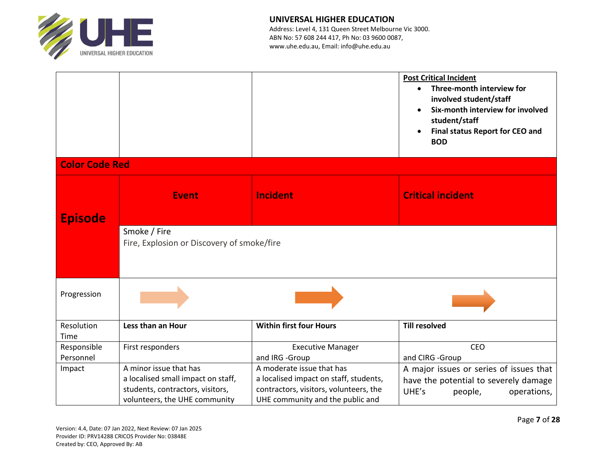

|                       |                                                                                                                                   |                                                                                                                                                                     | <b>Post Critical Incident</b><br>Three-month interview for<br>$\bullet$<br>involved student/staff<br>Six-month interview for involved<br>student/staff<br>Final status Report for CEO and<br><b>BOD</b> |
|-----------------------|-----------------------------------------------------------------------------------------------------------------------------------|---------------------------------------------------------------------------------------------------------------------------------------------------------------------|---------------------------------------------------------------------------------------------------------------------------------------------------------------------------------------------------------|
| <b>Color Code Red</b> |                                                                                                                                   |                                                                                                                                                                     |                                                                                                                                                                                                         |
| <b>Episode</b>        | <b>Event</b>                                                                                                                      | <b>Incident</b>                                                                                                                                                     | <b>Critical incident</b>                                                                                                                                                                                |
|                       | Smoke / Fire<br>Fire, Explosion or Discovery of smoke/fire                                                                        |                                                                                                                                                                     |                                                                                                                                                                                                         |
| Progression           |                                                                                                                                   |                                                                                                                                                                     |                                                                                                                                                                                                         |
| Resolution<br>Time    | Less than an Hour                                                                                                                 | <b>Within first four Hours</b>                                                                                                                                      | <b>Till resolved</b>                                                                                                                                                                                    |
| Responsible           | First responders                                                                                                                  | <b>Executive Manager</b>                                                                                                                                            | CEO                                                                                                                                                                                                     |
| Personnel<br>Impact   | A minor issue that has<br>a localised small impact on staff,<br>students, contractors, visitors,<br>volunteers, the UHE community | and IRG -Group<br>A moderate issue that has<br>a localised impact on staff, students,<br>contractors, visitors, volunteers, the<br>UHE community and the public and | and CIRG -Group<br>A major issues or series of issues that<br>have the potential to severely damage<br>UHE's<br>people,<br>operations,                                                                  |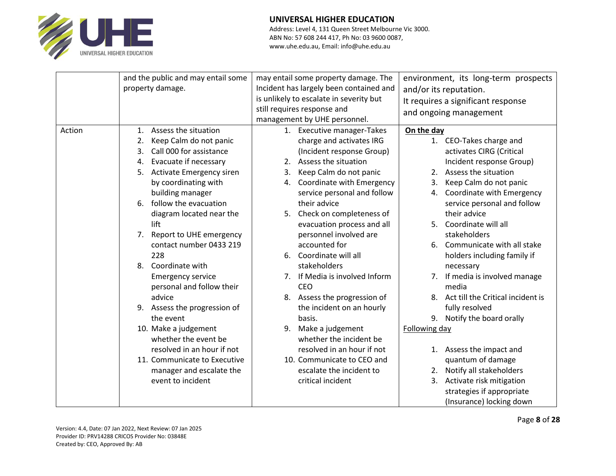

|        | and the public and may entail some | may entail some property damage. The          | environment, its long-term prospects  |
|--------|------------------------------------|-----------------------------------------------|---------------------------------------|
|        | property damage.                   | Incident has largely been contained and       | and/or its reputation.                |
|        |                                    | is unlikely to escalate in severity but       | It requires a significant response    |
|        |                                    | still requires response and                   | and ongoing management                |
|        |                                    | management by UHE personnel.                  |                                       |
| Action | Assess the situation<br>1.         | 1. Executive manager-Takes                    | On the day                            |
|        | Keep Calm do not panic<br>2.       | charge and activates IRG                      | 1. CEO-Takes charge and               |
|        | Call 000 for assistance<br>3.      | (Incident response Group)                     | activates CIRG (Critical              |
|        | Evacuate if necessary<br>4.        | Assess the situation<br>2.                    | Incident response Group)              |
|        | Activate Emergency siren<br>5.     | Keep Calm do not panic<br>3.                  | 2. Assess the situation               |
|        | by coordinating with               | Coordinate with Emergency<br>4.               | Keep Calm do not panic<br>3.          |
|        | building manager                   | service personal and follow                   | Coordinate with Emergency<br>4.       |
|        | follow the evacuation<br>6.        | their advice                                  | service personal and follow           |
|        | diagram located near the           | 5. Check on completeness of                   | their advice                          |
|        | lift                               | evacuation process and all                    | Coordinate will all<br>5 <sub>1</sub> |
|        | Report to UHE emergency<br>7.      | personnel involved are                        | stakeholders                          |
|        | contact number 0433 219            | accounted for                                 | 6. Communicate with all stake         |
|        | 228                                | Coordinate will all<br>6.                     | holders including family if           |
|        | Coordinate with<br>8.              | stakeholders                                  | necessary                             |
|        | <b>Emergency service</b>           | If Media is involved Inform<br>7 <sup>1</sup> | 7. If media is involved manage        |
|        | personal and follow their          | <b>CEO</b>                                    | media                                 |
|        | advice                             | 8. Assess the progression of                  | 8. Act till the Critical incident is  |
|        | 9. Assess the progression of       | the incident on an hourly                     | fully resolved                        |
|        | the event                          | basis.                                        | 9. Notify the board orally            |
|        | 10. Make a judgement               | Make a judgement<br>9.                        | Following day                         |
|        | whether the event be               | whether the incident be                       |                                       |
|        | resolved in an hour if not         | resolved in an hour if not                    | 1. Assess the impact and              |
|        | 11. Communicate to Executive       | 10. Communicate to CEO and                    | quantum of damage                     |
|        | manager and escalate the           | escalate the incident to                      | 2. Notify all stakeholders            |
|        | event to incident                  | critical incident                             | 3. Activate risk mitigation           |
|        |                                    |                                               | strategies if appropriate             |
|        |                                    |                                               | (Insurance) locking down              |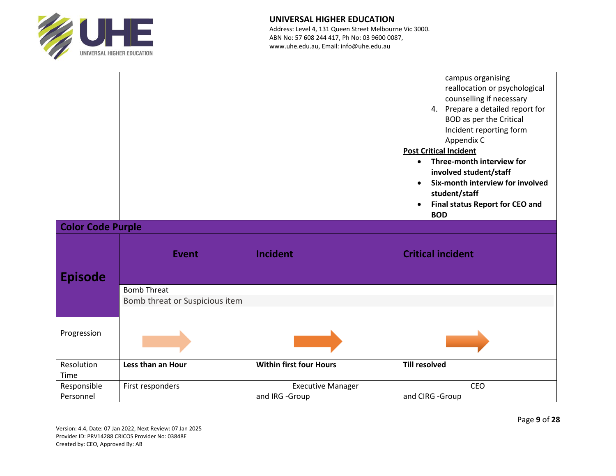

| <b>Color Code Purple</b> |                                                      |                                            | campus organising<br>reallocation or psychological<br>counselling if necessary<br>4. Prepare a detailed report for<br><b>BOD</b> as per the Critical<br>Incident reporting form<br>Appendix C<br><b>Post Critical Incident</b><br>Three-month interview for<br>$\bullet$<br>involved student/staff<br>Six-month interview for involved<br>student/staff<br><b>Final status Report for CEO and</b><br><b>BOD</b> |
|--------------------------|------------------------------------------------------|--------------------------------------------|-----------------------------------------------------------------------------------------------------------------------------------------------------------------------------------------------------------------------------------------------------------------------------------------------------------------------------------------------------------------------------------------------------------------|
| <b>Episode</b>           | <b>Event</b>                                         | <b>Incident</b>                            | <b>Critical incident</b>                                                                                                                                                                                                                                                                                                                                                                                        |
|                          | <b>Bomb Threat</b><br>Bomb threat or Suspicious item |                                            |                                                                                                                                                                                                                                                                                                                                                                                                                 |
| Progression              |                                                      |                                            |                                                                                                                                                                                                                                                                                                                                                                                                                 |
| Resolution<br>Time       | Less than an Hour                                    | <b>Within first four Hours</b>             | <b>Till resolved</b>                                                                                                                                                                                                                                                                                                                                                                                            |
| Responsible<br>Personnel | First responders                                     | <b>Executive Manager</b><br>and IRG -Group | CEO<br>and CIRG -Group                                                                                                                                                                                                                                                                                                                                                                                          |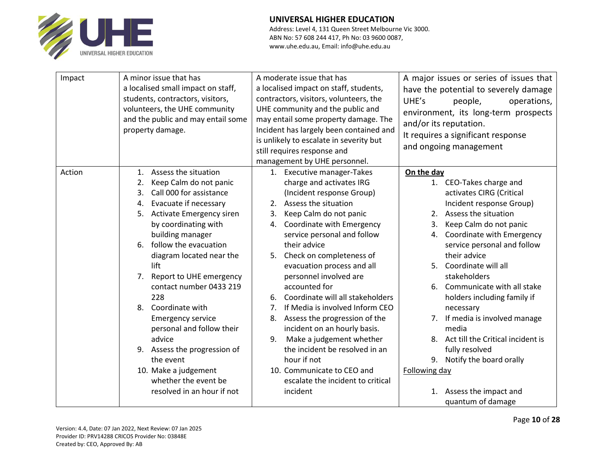

| Impact | A minor issue that has<br>a localised small impact on staff,<br>students, contractors, visitors,<br>volunteers, the UHE community<br>and the public and may entail some<br>property damage.                                                                                                                                                                                                                                                                                                                                                                           | A moderate issue that has<br>a localised impact on staff, students,<br>contractors, visitors, volunteers, the<br>UHE community and the public and<br>may entail some property damage. The<br>Incident has largely been contained and<br>is unlikely to escalate in severity but<br>still requires response and<br>management by UHE personnel.                                                                                                                                                                                                                                                                                                                          | A major issues or series of issues that<br>have the potential to severely damage<br>UHE's<br>people,<br>operations,<br>environment, its long-term prospects<br>and/or its reputation.<br>It requires a significant response<br>and ongoing management                                                                                                                                                                                                                                                                                                                              |
|--------|-----------------------------------------------------------------------------------------------------------------------------------------------------------------------------------------------------------------------------------------------------------------------------------------------------------------------------------------------------------------------------------------------------------------------------------------------------------------------------------------------------------------------------------------------------------------------|-------------------------------------------------------------------------------------------------------------------------------------------------------------------------------------------------------------------------------------------------------------------------------------------------------------------------------------------------------------------------------------------------------------------------------------------------------------------------------------------------------------------------------------------------------------------------------------------------------------------------------------------------------------------------|------------------------------------------------------------------------------------------------------------------------------------------------------------------------------------------------------------------------------------------------------------------------------------------------------------------------------------------------------------------------------------------------------------------------------------------------------------------------------------------------------------------------------------------------------------------------------------|
| Action | Assess the situation<br>1.<br>Keep Calm do not panic<br>2.<br>Call 000 for assistance<br>3.<br>Evacuate if necessary<br>4.<br>Activate Emergency siren<br>5.<br>by coordinating with<br>building manager<br>follow the evacuation<br>6.<br>diagram located near the<br>lift<br>Report to UHE emergency<br>7.<br>contact number 0433 219<br>228<br>Coordinate with<br>8.<br><b>Emergency service</b><br>personal and follow their<br>advice<br>9. Assess the progression of<br>the event<br>10. Make a judgement<br>whether the event be<br>resolved in an hour if not | 1. Executive manager-Takes<br>charge and activates IRG<br>(Incident response Group)<br>2. Assess the situation<br>Keep Calm do not panic<br>3.<br>Coordinate with Emergency<br>4.<br>service personal and follow<br>their advice<br>Check on completeness of<br>5.<br>evacuation process and all<br>personnel involved are<br>accounted for<br>Coordinate will all stakeholders<br>6.<br>If Media is involved Inform CEO<br>7.<br>Assess the progression of the<br>8.<br>incident on an hourly basis.<br>Make a judgement whether<br>9.<br>the incident be resolved in an<br>hour if not<br>10. Communicate to CEO and<br>escalate the incident to critical<br>incident | On the day<br>1. CEO-Takes charge and<br>activates CIRG (Critical<br>Incident response Group)<br>2. Assess the situation<br>Keep Calm do not panic<br>3.<br>Coordinate with Emergency<br>4.<br>service personal and follow<br>their advice<br>Coordinate will all<br>5.<br>stakeholders<br>Communicate with all stake<br>6.<br>holders including family if<br>necessary<br>7. If media is involved manage<br>media<br>8. Act till the Critical incident is<br>fully resolved<br>Notify the board orally<br>9.<br>Following day<br>Assess the impact and<br>1.<br>quantum of damage |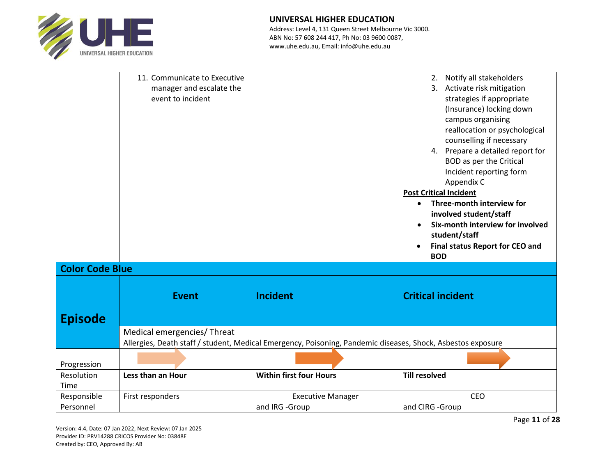

Address: Level 4, 131 Queen Street Melbourne Vic 3000. ABN No: 57 608 244 417, Ph No: 03 9600 0087, www.uhe.edu.au, Email: info@uhe.edu.au

|                          | 11. Communicate to Executive<br>manager and escalate the<br>event to incident |                                                                                                             | 2. Notify all stakeholders<br>3. Activate risk mitigation<br>strategies if appropriate<br>(Insurance) locking down<br>campus organising<br>reallocation or psychological<br>counselling if necessary<br>4. Prepare a detailed report for<br><b>BOD</b> as per the Critical<br>Incident reporting form<br>Appendix C<br><b>Post Critical Incident</b><br>Three-month interview for<br>involved student/staff<br>Six-month interview for involved |
|--------------------------|-------------------------------------------------------------------------------|-------------------------------------------------------------------------------------------------------------|-------------------------------------------------------------------------------------------------------------------------------------------------------------------------------------------------------------------------------------------------------------------------------------------------------------------------------------------------------------------------------------------------------------------------------------------------|
|                          |                                                                               |                                                                                                             | student/staff<br><b>Final status Report for CEO and</b><br><b>BOD</b>                                                                                                                                                                                                                                                                                                                                                                           |
| <b>Color Code Blue</b>   |                                                                               |                                                                                                             |                                                                                                                                                                                                                                                                                                                                                                                                                                                 |
| <b>Episode</b>           | <b>Event</b>                                                                  | <b>Incident</b>                                                                                             | <b>Critical incident</b>                                                                                                                                                                                                                                                                                                                                                                                                                        |
|                          | Medical emergencies/ Threat                                                   | Allergies, Death staff / student, Medical Emergency, Poisoning, Pandemic diseases, Shock, Asbestos exposure |                                                                                                                                                                                                                                                                                                                                                                                                                                                 |
| Progression              |                                                                               |                                                                                                             |                                                                                                                                                                                                                                                                                                                                                                                                                                                 |
| Resolution<br>Time       | Less than an Hour                                                             | <b>Within first four Hours</b>                                                                              | <b>Till resolved</b>                                                                                                                                                                                                                                                                                                                                                                                                                            |
| Responsible<br>Personnel | First responders                                                              | <b>Executive Manager</b><br>and IRG -Group                                                                  | <b>CEO</b><br>and CIRG - Group                                                                                                                                                                                                                                                                                                                                                                                                                  |

Version: 4.4, Date: 07 Jan 2022, Next Review: 07 Jan 2025 Provider ID: PRV14288 CRICOS Provider No: 03848E Created by: CEO, Approved By: AB

Page **11** of **28**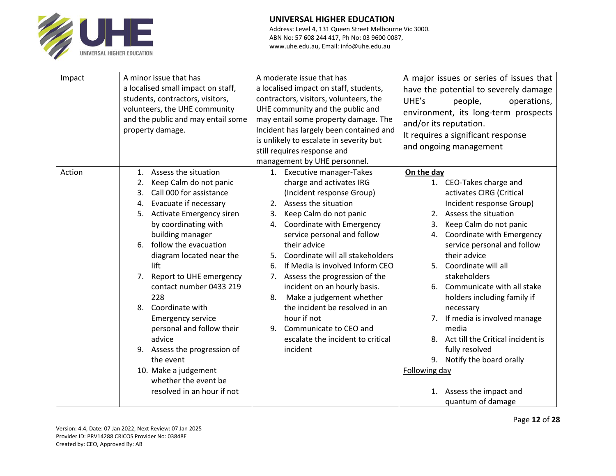

| Impact | A minor issue that has<br>a localised small impact on staff,<br>students, contractors, visitors,<br>volunteers, the UHE community<br>and the public and may entail some<br>property damage.                                                                                                                                                                                                                                                                                                                                                                                       | A moderate issue that has<br>a localised impact on staff, students,<br>contractors, visitors, volunteers, the<br>UHE community and the public and<br>may entail some property damage. The<br>Incident has largely been contained and<br>is unlikely to escalate in severity but<br>still requires response and<br>management by UHE personnel.                                                                                                                                                                                                                 | A major issues or series of issues that<br>have the potential to severely damage<br>UHE's<br>people,<br>operations,<br>environment, its long-term prospects<br>and/or its reputation.<br>It requires a significant response<br>and ongoing management                                                                                                                                                                                                                                                                                                                              |
|--------|-----------------------------------------------------------------------------------------------------------------------------------------------------------------------------------------------------------------------------------------------------------------------------------------------------------------------------------------------------------------------------------------------------------------------------------------------------------------------------------------------------------------------------------------------------------------------------------|----------------------------------------------------------------------------------------------------------------------------------------------------------------------------------------------------------------------------------------------------------------------------------------------------------------------------------------------------------------------------------------------------------------------------------------------------------------------------------------------------------------------------------------------------------------|------------------------------------------------------------------------------------------------------------------------------------------------------------------------------------------------------------------------------------------------------------------------------------------------------------------------------------------------------------------------------------------------------------------------------------------------------------------------------------------------------------------------------------------------------------------------------------|
| Action | Assess the situation<br>1.<br>Keep Calm do not panic<br>2.<br>Call 000 for assistance<br>$\mathbf{3}$ .<br>Evacuate if necessary<br>4.<br>Activate Emergency siren<br>5.<br>by coordinating with<br>building manager<br>follow the evacuation<br>6.<br>diagram located near the<br>lift<br>Report to UHE emergency<br>7.<br>contact number 0433 219<br>228<br>Coordinate with<br>8.<br><b>Emergency service</b><br>personal and follow their<br>advice<br>9. Assess the progression of<br>the event<br>10. Make a judgement<br>whether the event be<br>resolved in an hour if not | 1. Executive manager-Takes<br>charge and activates IRG<br>(Incident response Group)<br>2. Assess the situation<br>Keep Calm do not panic<br>3.<br>Coordinate with Emergency<br>4.<br>service personal and follow<br>their advice<br>Coordinate will all stakeholders<br>5.<br>If Media is involved Inform CEO<br>6.<br>Assess the progression of the<br>7.<br>incident on an hourly basis.<br>Make a judgement whether<br>8.<br>the incident be resolved in an<br>hour if not<br>Communicate to CEO and<br>9.<br>escalate the incident to critical<br>incident | On the day<br>1. CEO-Takes charge and<br>activates CIRG (Critical<br>Incident response Group)<br>2. Assess the situation<br>Keep Calm do not panic<br>3.<br>Coordinate with Emergency<br>4.<br>service personal and follow<br>their advice<br>Coordinate will all<br>5.<br>stakeholders<br>Communicate with all stake<br>6.<br>holders including family if<br>necessary<br>7. If media is involved manage<br>media<br>8. Act till the Critical incident is<br>fully resolved<br>Notify the board orally<br>9.<br>Following day<br>Assess the impact and<br>1.<br>quantum of damage |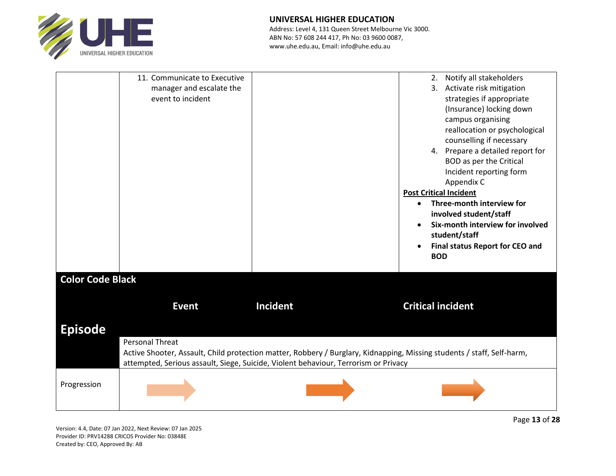

Address: Level 4, 131 Queen Street Melbourne Vic 3000. ABN No: 57 608 244 417, Ph No: 03 9600 0087, www.uhe.edu.au, Email: info@uhe.edu.au

| <b>Color Code Black</b> | 11. Communicate to Executive<br>manager and escalate the<br>event to incident |                                                                                                                                                                                                               | Notify all stakeholders<br>2.<br>3. Activate risk mitigation<br>strategies if appropriate<br>(Insurance) locking down<br>campus organising<br>reallocation or psychological<br>counselling if necessary<br>4. Prepare a detailed report for<br><b>BOD</b> as per the Critical<br>Incident reporting form<br>Appendix C<br><b>Post Critical Incident</b><br>Three-month interview for<br>$\bullet$<br>involved student/staff<br>Six-month interview for involved<br>student/staff<br>Final status Report for CEO and<br><b>BOD</b> |
|-------------------------|-------------------------------------------------------------------------------|---------------------------------------------------------------------------------------------------------------------------------------------------------------------------------------------------------------|-----------------------------------------------------------------------------------------------------------------------------------------------------------------------------------------------------------------------------------------------------------------------------------------------------------------------------------------------------------------------------------------------------------------------------------------------------------------------------------------------------------------------------------|
|                         | <b>Event</b>                                                                  | Incident                                                                                                                                                                                                      | <b>Critical incident</b>                                                                                                                                                                                                                                                                                                                                                                                                                                                                                                          |
| <b>Episode</b>          |                                                                               |                                                                                                                                                                                                               |                                                                                                                                                                                                                                                                                                                                                                                                                                                                                                                                   |
|                         | <b>Personal Threat</b>                                                        | Active Shooter, Assault, Child protection matter, Robbery / Burglary, Kidnapping, Missing students / staff, Self-harm,<br>attempted, Serious assault, Siege, Suicide, Violent behaviour, Terrorism or Privacy |                                                                                                                                                                                                                                                                                                                                                                                                                                                                                                                                   |
| Progression             |                                                                               |                                                                                                                                                                                                               |                                                                                                                                                                                                                                                                                                                                                                                                                                                                                                                                   |

Version: 4.4, Date: 07 Jan 2022, Next Review: 07 Jan 2025 Provider ID: PRV14288 CRICOS Provider No: 03848E Created by: CEO, Approved By: AB

Page **13** of **28**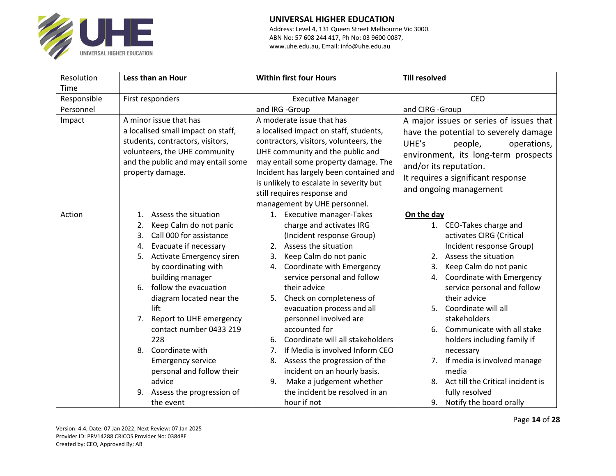

| Resolution  | Less than an Hour                     | <b>Within first four Hours</b>          | <b>Till resolved</b>                    |  |
|-------------|---------------------------------------|-----------------------------------------|-----------------------------------------|--|
| Time        |                                       |                                         |                                         |  |
| Responsible | First responders                      | <b>Executive Manager</b>                | <b>CEO</b>                              |  |
| Personnel   |                                       | and IRG -Group                          | and CIRG -Group                         |  |
| Impact      | A minor issue that has                | A moderate issue that has               | A major issues or series of issues that |  |
|             | a localised small impact on staff,    | a localised impact on staff, students,  | have the potential to severely damage   |  |
|             | students, contractors, visitors,      | contractors, visitors, volunteers, the  | UHE's<br>people,<br>operations,         |  |
|             | volunteers, the UHE community         | UHE community and the public and        | environment, its long-term prospects    |  |
|             | and the public and may entail some    | may entail some property damage. The    | and/or its reputation.                  |  |
|             | property damage.                      | Incident has largely been contained and | It requires a significant response      |  |
|             |                                       | is unlikely to escalate in severity but | and ongoing management                  |  |
|             |                                       | still requires response and             |                                         |  |
|             |                                       | management by UHE personnel.            |                                         |  |
| Action      | Assess the situation<br>1.            | 1. Executive manager-Takes              | On the day                              |  |
|             | Keep Calm do not panic<br>2.          | charge and activates IRG                | 1. CEO-Takes charge and                 |  |
|             | Call 000 for assistance<br>3.         | (Incident response Group)               | activates CIRG (Critical                |  |
|             | Evacuate if necessary<br>4.           | 2. Assess the situation                 | Incident response Group)                |  |
|             | <b>Activate Emergency siren</b><br>5. | Keep Calm do not panic<br>3.            | 2. Assess the situation                 |  |
|             | by coordinating with                  | Coordinate with Emergency<br>4.         | Keep Calm do not panic<br>3.            |  |
|             | building manager                      | service personal and follow             | Coordinate with Emergency<br>4.         |  |
|             | follow the evacuation<br>6.           | their advice                            | service personal and follow             |  |
|             | diagram located near the              | Check on completeness of<br>5.          | their advice                            |  |
|             | lift                                  | evacuation process and all              | Coordinate will all<br>5.               |  |
|             | Report to UHE emergency<br>7.         | personnel involved are                  | stakeholders                            |  |
|             | contact number 0433 219               | accounted for                           | Communicate with all stake<br>6.        |  |
|             | 228                                   | Coordinate will all stakeholders<br>6.  | holders including family if             |  |
|             | Coordinate with<br>8.                 | If Media is involved Inform CEO<br>7.   | necessary                               |  |
|             | <b>Emergency service</b>              | Assess the progression of the<br>8.     | 7. If media is involved manage          |  |
|             | personal and follow their             | incident on an hourly basis.            | media                                   |  |
|             | advice                                | Make a judgement whether<br>9.          | 8. Act till the Critical incident is    |  |
|             | Assess the progression of<br>9.       | the incident be resolved in an          | fully resolved                          |  |
|             | the event                             | hour if not                             | 9. Notify the board orally              |  |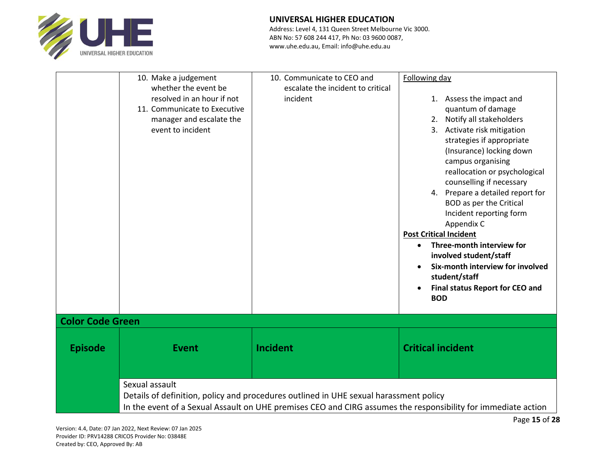

| <b>Color Code Green</b> |                                                                                        |                                                                 | Final status Report for CEO and<br>$\bullet$<br><b>BOD</b>                                                                                 |
|-------------------------|----------------------------------------------------------------------------------------|-----------------------------------------------------------------|--------------------------------------------------------------------------------------------------------------------------------------------|
| <b>Episode</b>          | <b>Event</b>                                                                           | Incident                                                        | <b>Critical incident</b>                                                                                                                   |
|                         |                                                                                        |                                                                 | student/staff                                                                                                                              |
|                         |                                                                                        |                                                                 | <b>Post Critical Incident</b><br>Three-month interview for<br>involved student/staff<br>Six-month interview for involved                   |
|                         |                                                                                        |                                                                 | counselling if necessary<br>4. Prepare a detailed report for<br><b>BOD</b> as per the Critical<br>Incident reporting form<br>Appendix C    |
|                         | event to incident                                                                      |                                                                 | 3. Activate risk mitigation<br>strategies if appropriate<br>(Insurance) locking down<br>campus organising<br>reallocation or psychological |
|                         | resolved in an hour if not<br>11. Communicate to Executive<br>manager and escalate the | incident                                                        | 1. Assess the impact and<br>quantum of damage<br>2. Notify all stakeholders                                                                |
|                         | 10. Make a judgement<br>whether the event be                                           | 10. Communicate to CEO and<br>escalate the incident to critical | Following day                                                                                                                              |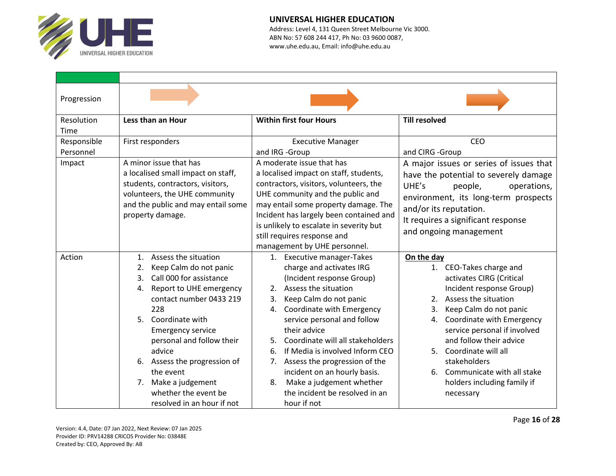

| Progression |                                                        |                                                                                 |                                         |  |
|-------------|--------------------------------------------------------|---------------------------------------------------------------------------------|-----------------------------------------|--|
| Resolution  | Less than an Hour                                      | <b>Within first four Hours</b>                                                  | <b>Till resolved</b>                    |  |
| Time        |                                                        |                                                                                 |                                         |  |
| Responsible | First responders                                       | <b>Executive Manager</b>                                                        | <b>CEO</b>                              |  |
| Personnel   |                                                        | and IRG -Group                                                                  | and CIRG -Group                         |  |
| Impact      | A minor issue that has                                 | A moderate issue that has                                                       | A major issues or series of issues that |  |
|             | a localised small impact on staff,                     | a localised impact on staff, students,                                          | have the potential to severely damage   |  |
|             | students, contractors, visitors,                       | contractors, visitors, volunteers, the                                          | UHE's<br>operations,<br>people,         |  |
|             | volunteers, the UHE community                          | UHE community and the public and                                                | environment, its long-term prospects    |  |
|             | and the public and may entail some<br>property damage. | may entail some property damage. The<br>Incident has largely been contained and | and/or its reputation.                  |  |
|             |                                                        | is unlikely to escalate in severity but                                         | It requires a significant response      |  |
|             |                                                        | still requires response and                                                     | and ongoing management                  |  |
|             |                                                        | management by UHE personnel.                                                    |                                         |  |
| Action      | Assess the situation<br>1.                             | 1. Executive manager-Takes                                                      | On the day                              |  |
|             | Keep Calm do not panic<br>2.                           | charge and activates IRG                                                        | 1. CEO-Takes charge and                 |  |
|             | Call 000 for assistance<br>3.                          | (Incident response Group)                                                       | activates CIRG (Critical                |  |
|             | Report to UHE emergency<br>4.                          | Assess the situation<br>2.                                                      | Incident response Group)                |  |
|             | contact number 0433 219                                | Keep Calm do not panic<br>3.                                                    | Assess the situation<br>2.              |  |
|             | 228                                                    | Coordinate with Emergency<br>4.                                                 | Keep Calm do not panic<br>3.            |  |
|             | 5. Coordinate with                                     | service personal and follow                                                     | Coordinate with Emergency<br>4.         |  |
|             | <b>Emergency service</b>                               | their advice                                                                    | service personal if involved            |  |
|             | personal and follow their                              | Coordinate will all stakeholders<br>5.                                          | and follow their advice                 |  |
|             | advice                                                 | If Media is involved Inform CEO<br>6.                                           | Coordinate will all<br>5.               |  |
|             | 6. Assess the progression of                           | Assess the progression of the<br>7.                                             | stakeholders                            |  |
|             | the event                                              | incident on an hourly basis.                                                    | 6. Communicate with all stake           |  |
|             | Make a judgement<br>7.                                 | Make a judgement whether<br>8.                                                  | holders including family if             |  |
|             | whether the event be                                   | the incident be resolved in an                                                  | necessary                               |  |
|             | resolved in an hour if not                             | hour if not                                                                     |                                         |  |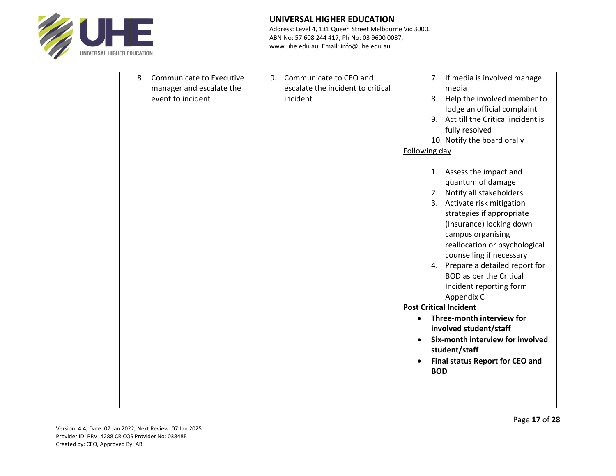

|  | 8. Communicate to Executive<br>manager and escalate the<br>event to incident | 9. | Communicate to CEO and<br>escalate the incident to critical<br>incident | Following day                 | 7. If media is involved manage<br>media<br>8. Help the involved member to<br>lodge an official complaint<br>9. Act till the Critical incident is<br>fully resolved<br>10. Notify the board orally<br>1. Assess the impact and                                                                                       |
|--|------------------------------------------------------------------------------|----|-------------------------------------------------------------------------|-------------------------------|---------------------------------------------------------------------------------------------------------------------------------------------------------------------------------------------------------------------------------------------------------------------------------------------------------------------|
|  |                                                                              |    |                                                                         |                               | quantum of damage                                                                                                                                                                                                                                                                                                   |
|  |                                                                              |    |                                                                         |                               | 2. Notify all stakeholders<br>3. Activate risk mitigation<br>strategies if appropriate<br>(Insurance) locking down<br>campus organising<br>reallocation or psychological<br>counselling if necessary<br>4. Prepare a detailed report for<br><b>BOD</b> as per the Critical<br>Incident reporting form<br>Appendix C |
|  |                                                                              |    |                                                                         | <b>Post Critical Incident</b> |                                                                                                                                                                                                                                                                                                                     |
|  |                                                                              |    |                                                                         | $\bullet$<br><b>BOD</b>       | Three-month interview for<br>involved student/staff<br>Six-month interview for involved<br>student/staff<br><b>Final status Report for CEO and</b>                                                                                                                                                                  |
|  |                                                                              |    |                                                                         |                               |                                                                                                                                                                                                                                                                                                                     |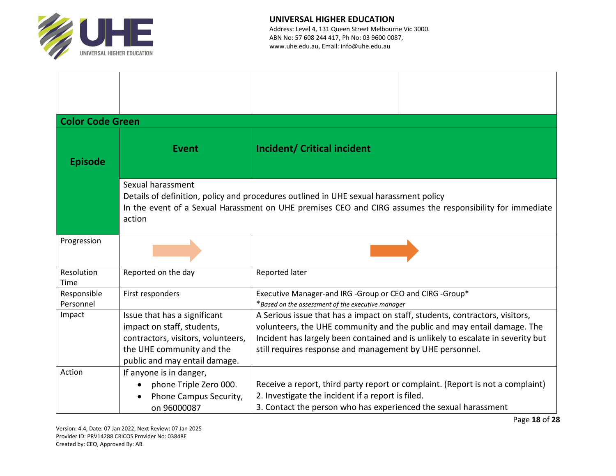

| <b>Color Code Green</b>                                                                                                                                                                                                           |                                                                                                                                                                |                                                                                                                                          |                                                                                                                                                            |  |  |
|-----------------------------------------------------------------------------------------------------------------------------------------------------------------------------------------------------------------------------------|----------------------------------------------------------------------------------------------------------------------------------------------------------------|------------------------------------------------------------------------------------------------------------------------------------------|------------------------------------------------------------------------------------------------------------------------------------------------------------|--|--|
| <b>Episode</b>                                                                                                                                                                                                                    | <b>Event</b>                                                                                                                                                   | <b>Incident/ Critical incident</b>                                                                                                       |                                                                                                                                                            |  |  |
| Sexual harassment<br>Details of definition, policy and procedures outlined in UHE sexual harassment policy<br>In the event of a Sexual Harassment on UHE premises CEO and CIRG assumes the responsibility for immediate<br>action |                                                                                                                                                                |                                                                                                                                          |                                                                                                                                                            |  |  |
| Progression                                                                                                                                                                                                                       |                                                                                                                                                                |                                                                                                                                          |                                                                                                                                                            |  |  |
| Resolution<br>Time                                                                                                                                                                                                                | Reported on the day                                                                                                                                            | Reported later                                                                                                                           |                                                                                                                                                            |  |  |
| Responsible<br>Personnel                                                                                                                                                                                                          | First responders                                                                                                                                               | Executive Manager-and IRG -Group or CEO and CIRG -Group*<br>*Based on the assessment of the executive manager                            |                                                                                                                                                            |  |  |
| Impact                                                                                                                                                                                                                            | Issue that has a significant<br>impact on staff, students,<br>contractors, visitors, volunteers,<br>the UHE community and the<br>public and may entail damage. | A Serious issue that has a impact on staff, students, contractors, visitors,<br>still requires response and management by UHE personnel. | volunteers, the UHE community and the public and may entail damage. The<br>Incident has largely been contained and is unlikely to escalate in severity but |  |  |
| Action                                                                                                                                                                                                                            | If anyone is in danger,<br>phone Triple Zero 000.<br>Phone Campus Security,<br>on 96000087                                                                     | 2. Investigate the incident if a report is filed.<br>3. Contact the person who has experienced the sexual harassment                     | Receive a report, third party report or complaint. (Report is not a complaint)                                                                             |  |  |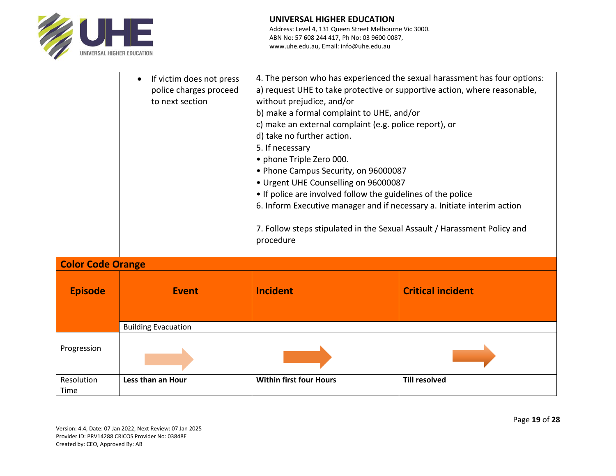

|                          | If victim does not press<br>$\bullet$<br>police charges proceed<br>to next section | 4. The person who has experienced the sexual harassment has four options:<br>a) request UHE to take protective or supportive action, where reasonable,<br>without prejudice, and/or<br>b) make a formal complaint to UHE, and/or<br>c) make an external complaint (e.g. police report), or<br>d) take no further action.<br>5. If necessary<br>• phone Triple Zero 000.<br>• Phone Campus Security, on 96000087<br>• Urgent UHE Counselling on 96000087<br>• If police are involved follow the guidelines of the police<br>6. Inform Executive manager and if necessary a. Initiate interim action<br>7. Follow steps stipulated in the Sexual Assault / Harassment Policy and<br>procedure |                          |  |  |  |
|--------------------------|------------------------------------------------------------------------------------|---------------------------------------------------------------------------------------------------------------------------------------------------------------------------------------------------------------------------------------------------------------------------------------------------------------------------------------------------------------------------------------------------------------------------------------------------------------------------------------------------------------------------------------------------------------------------------------------------------------------------------------------------------------------------------------------|--------------------------|--|--|--|
| <b>Color Code Orange</b> |                                                                                    |                                                                                                                                                                                                                                                                                                                                                                                                                                                                                                                                                                                                                                                                                             |                          |  |  |  |
| <b>Episode</b>           | <b>Event</b>                                                                       | <b>Incident</b>                                                                                                                                                                                                                                                                                                                                                                                                                                                                                                                                                                                                                                                                             | <b>Critical incident</b> |  |  |  |
|                          | <b>Building Evacuation</b>                                                         |                                                                                                                                                                                                                                                                                                                                                                                                                                                                                                                                                                                                                                                                                             |                          |  |  |  |
| Progression              |                                                                                    |                                                                                                                                                                                                                                                                                                                                                                                                                                                                                                                                                                                                                                                                                             |                          |  |  |  |
| Resolution<br>Time       | Less than an Hour                                                                  | <b>Within first four Hours</b>                                                                                                                                                                                                                                                                                                                                                                                                                                                                                                                                                                                                                                                              | <b>Till resolved</b>     |  |  |  |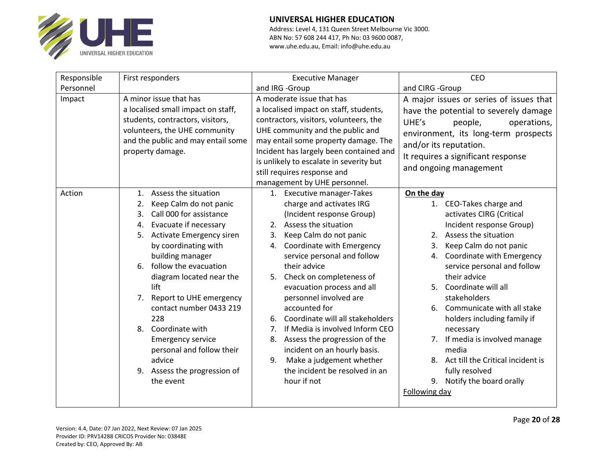

| Responsible | First responders                   | <b>Executive Manager</b>                | <b>CEO</b>                              |  |  |
|-------------|------------------------------------|-----------------------------------------|-----------------------------------------|--|--|
| Personnel   |                                    | and IRG -Group                          | and CIRG -Group                         |  |  |
| Impact      | A minor issue that has             | A moderate issue that has               | A major issues or series of issues that |  |  |
|             | a localised small impact on staff, | a localised impact on staff, students,  | have the potential to severely damage   |  |  |
|             | students, contractors, visitors,   | contractors, visitors, volunteers, the  | UHE's<br>people,<br>operations,         |  |  |
|             | volunteers, the UHE community      | UHE community and the public and        | environment, its long-term prospects    |  |  |
|             | and the public and may entail some | may entail some property damage. The    | and/or its reputation.                  |  |  |
|             | property damage.                   | Incident has largely been contained and | It requires a significant response      |  |  |
|             |                                    | is unlikely to escalate in severity but | and ongoing management                  |  |  |
|             |                                    | still requires response and             |                                         |  |  |
|             |                                    | management by UHE personnel.            |                                         |  |  |
| Action      | Assess the situation<br>1.         | 1. Executive manager-Takes              | On the day                              |  |  |
|             | Keep Calm do not panic<br>2.       | charge and activates IRG                | 1. CEO-Takes charge and                 |  |  |
|             | Call 000 for assistance<br>3.      | (Incident response Group)               | activates CIRG (Critical                |  |  |
|             | Evacuate if necessary<br>4.        | Assess the situation<br>2.              | Incident response Group)                |  |  |
|             | Activate Emergency siren<br>5.     | Keep Calm do not panic<br>3.            | Assess the situation<br>2.              |  |  |
|             | by coordinating with               | Coordinate with Emergency<br>4.         | Keep Calm do not panic<br>3.            |  |  |
|             | building manager                   | service personal and follow             | Coordinate with Emergency<br>4.         |  |  |
|             | follow the evacuation<br>6.        | their advice                            | service personal and follow             |  |  |
|             | diagram located near the           | Check on completeness of<br>5.          | their advice                            |  |  |
|             | lift                               | evacuation process and all              | Coordinate will all                     |  |  |
|             | Report to UHE emergency<br>7.      | personnel involved are                  | stakeholders                            |  |  |
|             | contact number 0433 219            | accounted for                           | Communicate with all stake<br>6.        |  |  |
|             | 228                                | Coordinate will all stakeholders<br>6.  | holders including family if             |  |  |
|             | Coordinate with<br>8.              | If Media is involved Inform CEO<br>7.   | necessary                               |  |  |
|             | <b>Emergency service</b>           | Assess the progression of the<br>8.     | 7. If media is involved manage          |  |  |
|             | personal and follow their          | incident on an hourly basis.            | media                                   |  |  |
|             | advice                             | Make a judgement whether<br>9.          | Act till the Critical incident is       |  |  |
|             | 9. Assess the progression of       | the incident be resolved in an          | fully resolved                          |  |  |
|             | the event                          | hour if not                             | 9. Notify the board orally              |  |  |
|             |                                    |                                         | Following day                           |  |  |
|             |                                    |                                         |                                         |  |  |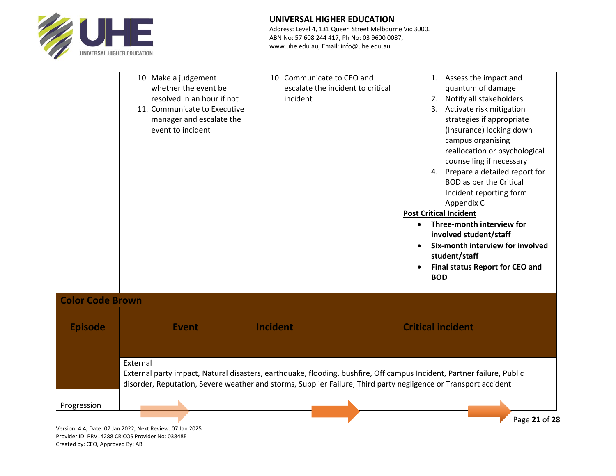

Address: Level 4, 131 Queen Street Melbourne Vic 3000. ABN No: 57 608 244 417, Ph No: 03 9600 0087, www.uhe.edu.au, Email: info@uhe.edu.au

|                         | 10. Make a judgement<br>whether the event be<br>resolved in an hour if not<br>11. Communicate to Executive<br>manager and escalate the<br>event to incident | 10. Communicate to CEO and<br>escalate the incident to critical<br>incident                                                                                                                                                               | 1. Assess the impact and<br>quantum of damage<br>2. Notify all stakeholders<br>3. Activate risk mitigation<br>strategies if appropriate<br>(Insurance) locking down<br>campus organising<br>reallocation or psychological<br>counselling if necessary<br>4. Prepare a detailed report for<br><b>BOD</b> as per the Critical<br>Incident reporting form<br>Appendix C<br><b>Post Critical Incident</b><br>Three-month interview for<br>$\bullet$<br>involved student/staff<br>Six-month interview for involved<br>student/staff<br><b>Final status Report for CEO and</b><br><b>BOD</b> |
|-------------------------|-------------------------------------------------------------------------------------------------------------------------------------------------------------|-------------------------------------------------------------------------------------------------------------------------------------------------------------------------------------------------------------------------------------------|----------------------------------------------------------------------------------------------------------------------------------------------------------------------------------------------------------------------------------------------------------------------------------------------------------------------------------------------------------------------------------------------------------------------------------------------------------------------------------------------------------------------------------------------------------------------------------------|
| <b>Color Code Brown</b> |                                                                                                                                                             |                                                                                                                                                                                                                                           |                                                                                                                                                                                                                                                                                                                                                                                                                                                                                                                                                                                        |
| <b>Episode</b>          | <b>Event</b>                                                                                                                                                | <b>Incident</b>                                                                                                                                                                                                                           | <b>Critical incident</b>                                                                                                                                                                                                                                                                                                                                                                                                                                                                                                                                                               |
|                         | External                                                                                                                                                    | External party impact, Natural disasters, earthquake, flooding, bushfire, Off campus Incident, Partner failure, Public<br>disorder, Reputation, Severe weather and storms, Supplier Failure, Third party negligence or Transport accident |                                                                                                                                                                                                                                                                                                                                                                                                                                                                                                                                                                                        |
| Progression             |                                                                                                                                                             |                                                                                                                                                                                                                                           | Page 21 of 28                                                                                                                                                                                                                                                                                                                                                                                                                                                                                                                                                                          |

Version: 4.4, Date: 07 Jan 2022, Next Review: 07 Jan 2025 Provider ID: PRV14288 CRICOS Provider No: 03848E Created by: CEO, Approved By: AB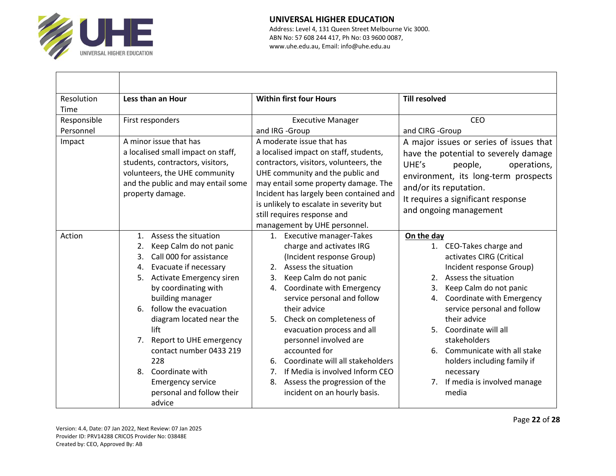

| Resolution  | Less than an Hour                      | <b>Within first four Hours</b>          | <b>Till resolved</b>                    |
|-------------|----------------------------------------|-----------------------------------------|-----------------------------------------|
| Time        |                                        |                                         |                                         |
| Responsible | First responders                       | <b>Executive Manager</b>                | CEO                                     |
| Personnel   |                                        | and IRG -Group                          | and CIRG -Group                         |
| Impact      | A minor issue that has                 | A moderate issue that has               | A major issues or series of issues that |
|             | a localised small impact on staff,     | a localised impact on staff, students,  | have the potential to severely damage   |
|             | students, contractors, visitors,       | contractors, visitors, volunteers, the  | UHE's<br>people,<br>operations,         |
|             | volunteers, the UHE community          | UHE community and the public and        | environment, its long-term prospects    |
|             | and the public and may entail some     | may entail some property damage. The    | and/or its reputation.                  |
|             | property damage.                       | Incident has largely been contained and | It requires a significant response      |
|             |                                        | is unlikely to escalate in severity but | and ongoing management                  |
|             |                                        | still requires response and             |                                         |
|             |                                        | management by UHE personnel.            |                                         |
| Action      | Assess the situation<br>$\mathbf{1}$ . | 1. Executive manager-Takes              | On the day                              |
|             | Keep Calm do not panic<br>2.           | charge and activates IRG                | 1. CEO-Takes charge and                 |
|             | Call 000 for assistance<br>3.          | (Incident response Group)               | activates CIRG (Critical                |
|             | Evacuate if necessary<br>4.            | 2. Assess the situation                 | Incident response Group)                |
|             | Activate Emergency siren<br>5.         | Keep Calm do not panic<br>3.            | 2. Assess the situation                 |
|             | by coordinating with                   | Coordinate with Emergency<br>4.         | Keep Calm do not panic<br>3.            |
|             | building manager                       | service personal and follow             | Coordinate with Emergency<br>4.         |
|             | 6. follow the evacuation               | their advice                            | service personal and follow             |
|             | diagram located near the               | 5. Check on completeness of             | their advice                            |
|             | lift                                   | evacuation process and all              | Coordinate will all<br>5.               |
|             | 7. Report to UHE emergency             | personnel involved are                  | stakeholders                            |
|             | contact number 0433 219                | accounted for                           | Communicate with all stake<br>6.        |
|             | 228                                    | Coordinate will all stakeholders<br>6.  | holders including family if             |
|             | 8. Coordinate with                     | 7. If Media is involved Inform CEO      | necessary                               |
|             | <b>Emergency service</b>               | 8. Assess the progression of the        | 7. If media is involved manage          |
|             | personal and follow their              | incident on an hourly basis.            | media                                   |
|             | advice                                 |                                         |                                         |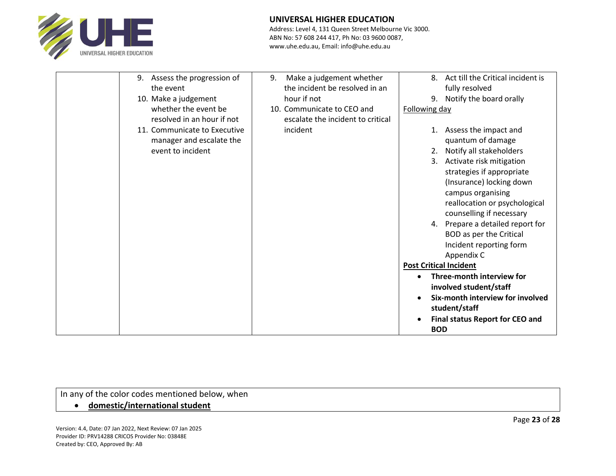

Address: Level 4, 131 Queen Street Melbourne Vic 3000. ABN No: 57 608 244 417, Ph No: 03 9600 0087, www.uhe.edu.au, Email: info@uhe.edu.au

| 9.        | Assess the progression of<br>9. | Make a judgement whether          | 8.                            | Act till the Critical incident is |
|-----------|---------------------------------|-----------------------------------|-------------------------------|-----------------------------------|
| the event |                                 | the incident be resolved in an    |                               | fully resolved                    |
|           | 10. Make a judgement            | hour if not                       | 9.                            | Notify the board orally           |
|           | whether the event be            | 10. Communicate to CEO and        | Following day                 |                                   |
|           | resolved in an hour if not      | escalate the incident to critical |                               |                                   |
|           | 11. Communicate to Executive    | incident                          | 1.                            | Assess the impact and             |
|           | manager and escalate the        |                                   |                               | quantum of damage                 |
|           | event to incident               |                                   | 2.                            | Notify all stakeholders           |
|           |                                 |                                   |                               | 3. Activate risk mitigation       |
|           |                                 |                                   |                               | strategies if appropriate         |
|           |                                 |                                   |                               | (Insurance) locking down          |
|           |                                 |                                   |                               | campus organising                 |
|           |                                 |                                   |                               | reallocation or psychological     |
|           |                                 |                                   |                               | counselling if necessary          |
|           |                                 |                                   |                               | 4. Prepare a detailed report for  |
|           |                                 |                                   |                               | BOD as per the Critical           |
|           |                                 |                                   |                               | Incident reporting form           |
|           |                                 |                                   |                               | Appendix C                        |
|           |                                 |                                   | <b>Post Critical Incident</b> |                                   |
|           |                                 |                                   |                               | Three-month interview for         |
|           |                                 |                                   |                               | involved student/staff            |
|           |                                 |                                   |                               | Six-month interview for involved  |
|           |                                 |                                   |                               | student/staff                     |
|           |                                 |                                   |                               | Final status Report for CEO and   |
|           |                                 |                                   | <b>BOD</b>                    |                                   |

In any of the color codes mentioned below, when

## • **domestic/international student**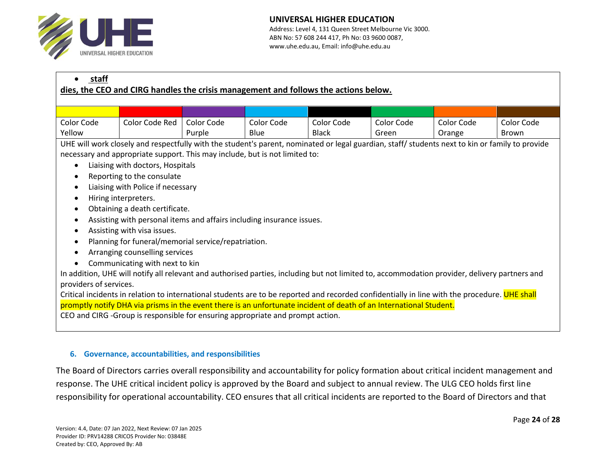

| staff<br>dies, the CEO and CIRG handles the crisis management and follows the actions below.                                                                            |                                                                                                                                                 |            |            |              |            |            |              |
|-------------------------------------------------------------------------------------------------------------------------------------------------------------------------|-------------------------------------------------------------------------------------------------------------------------------------------------|------------|------------|--------------|------------|------------|--------------|
|                                                                                                                                                                         |                                                                                                                                                 |            |            |              |            |            |              |
|                                                                                                                                                                         |                                                                                                                                                 |            |            |              |            |            |              |
| Color Code                                                                                                                                                              | Color Code Red                                                                                                                                  | Color Code | Color Code | Color Code   | Color Code | Color Code | Color Code   |
| Yellow                                                                                                                                                                  |                                                                                                                                                 | Purple     | Blue       | <b>Black</b> | Green      | Orange     | <b>Brown</b> |
|                                                                                                                                                                         | UHE will work closely and respectfully with the student's parent, nominated or legal guardian, staff/ students next to kin or family to provide |            |            |              |            |            |              |
|                                                                                                                                                                         | necessary and appropriate support. This may include, but is not limited to:                                                                     |            |            |              |            |            |              |
|                                                                                                                                                                         | Liaising with doctors, Hospitals                                                                                                                |            |            |              |            |            |              |
|                                                                                                                                                                         | Reporting to the consulate                                                                                                                      |            |            |              |            |            |              |
| $\bullet$                                                                                                                                                               | Liaising with Police if necessary                                                                                                               |            |            |              |            |            |              |
|                                                                                                                                                                         | Hiring interpreters.                                                                                                                            |            |            |              |            |            |              |
|                                                                                                                                                                         | Obtaining a death certificate.                                                                                                                  |            |            |              |            |            |              |
| $\bullet$                                                                                                                                                               | Assisting with personal items and affairs including insurance issues.                                                                           |            |            |              |            |            |              |
|                                                                                                                                                                         | Assisting with visa issues.                                                                                                                     |            |            |              |            |            |              |
| Planning for funeral/memorial service/repatriation.                                                                                                                     |                                                                                                                                                 |            |            |              |            |            |              |
|                                                                                                                                                                         | Arranging counselling services                                                                                                                  |            |            |              |            |            |              |
|                                                                                                                                                                         | Communicating with next to kin                                                                                                                  |            |            |              |            |            |              |
|                                                                                                                                                                         |                                                                                                                                                 |            |            |              |            |            |              |
| In addition, UHE will notify all relevant and authorised parties, including but not limited to, accommodation provider, delivery partners and<br>providers of services. |                                                                                                                                                 |            |            |              |            |            |              |
| Critical incidents in relation to international students are to be reported and recorded confidentially in line with the procedure. UHE shall                           |                                                                                                                                                 |            |            |              |            |            |              |
| promptly notify DHA via prisms in the event there is an unfortunate incident of death of an International Student.                                                      |                                                                                                                                                 |            |            |              |            |            |              |
|                                                                                                                                                                         | CEO and CIRG -Group is responsible for ensuring appropriate and prompt action.                                                                  |            |            |              |            |            |              |
|                                                                                                                                                                         |                                                                                                                                                 |            |            |              |            |            |              |

### **6. Governance, accountabilities, and responsibilities**

The Board of Directors carries overall responsibility and accountability for policy formation about critical incident management and response. The UHE critical incident policy is approved by the Board and subject to annual review. The ULG CEO holds first line responsibility for operational accountability. CEO ensures that all critical incidents are reported to the Board of Directors and that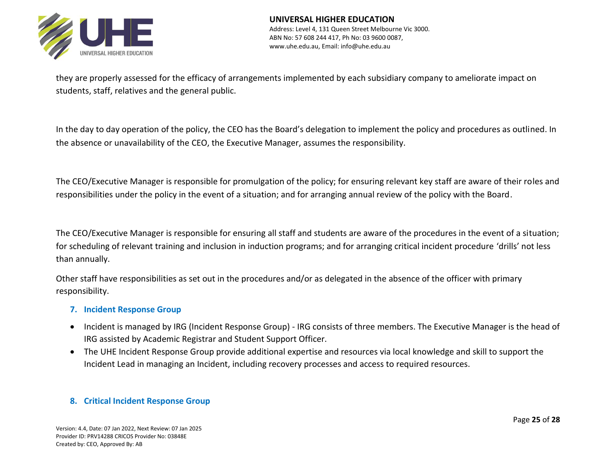

they are properly assessed for the efficacy of arrangements implemented by each subsidiary company to ameliorate impact on students, staff, relatives and the general public.

In the day to day operation of the policy, the CEO has the Board's delegation to implement the policy and procedures as outlined. In the absence or unavailability of the CEO, the Executive Manager, assumes the responsibility.

The CEO/Executive Manager is responsible for promulgation of the policy; for ensuring relevant key staff are aware of their roles and responsibilities under the policy in the event of a situation; and for arranging annual review of the policy with the Board.

The CEO/Executive Manager is responsible for ensuring all staff and students are aware of the procedures in the event of a situation; for scheduling of relevant training and inclusion in induction programs; and for arranging critical incident procedure 'drills' not less than annually.

Other staff have responsibilities as set out in the procedures and/or as delegated in the absence of the officer with primary responsibility.

## **7. Incident Response Group**

- Incident is managed by IRG (Incident Response Group) IRG consists of three members. The Executive Manager is the head of IRG assisted by Academic Registrar and Student Support Officer.
- The UHE Incident Response Group provide additional expertise and resources via local knowledge and skill to support the Incident Lead in managing an Incident, including recovery processes and access to required resources.

## **8. Critical Incident Response Group**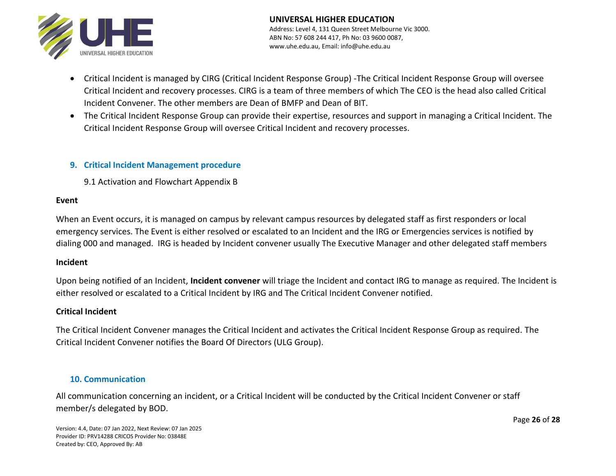

- Critical Incident is managed by CIRG (Critical Incident Response Group) -The Critical Incident Response Group will oversee Critical Incident and recovery processes. CIRG is a team of three members of which The CEO is the head also called Critical Incident Convener. The other members are Dean of BMFP and Dean of BIT.
- The Critical Incident Response Group can provide their expertise, resources and support in managing a Critical Incident. The Critical Incident Response Group will oversee Critical Incident and recovery processes.

## **9. Critical Incident Management procedure**

9.1 Activation and Flowchart Appendix B

#### **Event**

When an Event occurs, it is managed on campus by relevant campus resources by delegated staff as first responders or local emergency services. The Event is either resolved or escalated to an Incident and the IRG or Emergencies services is notified by dialing 000 and managed. IRG is headed by Incident convener usually The Executive Manager and other delegated staff members

### **Incident**

Upon being notified of an Incident, **Incident convener** will triage the Incident and contact IRG to manage as required. The Incident is either resolved or escalated to a Critical Incident by IRG and The Critical Incident Convener notified.

## **Critical Incident**

The Critical Incident Convener manages the Critical Incident and activates the Critical Incident Response Group as required. The Critical Incident Convener notifies the Board Of Directors (ULG Group).

## **10. Communication**

All communication concerning an incident, or a Critical Incident will be conducted by the Critical Incident Convener or staff member/s delegated by BOD.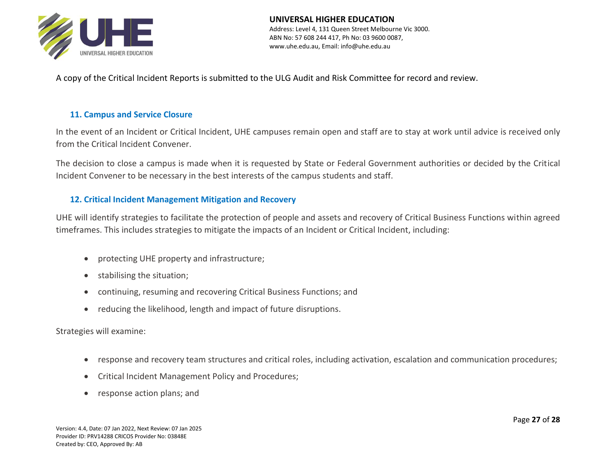

**UNIVERSAL HIGHER EDUCATION** Address: Level 4, 131 Queen Street Melbourne Vic 3000. ABN No: 57 608 244 417, Ph No: 03 9600 0087, www.uhe.edu.au, Email: info@uhe.edu.au

A copy of the Critical Incident Reports is submitted to the ULG Audit and Risk Committee for record and review.

## **11. Campus and Service Closure**

In the event of an Incident or Critical Incident, UHE campuses remain open and staff are to stay at work until advice is received only from the Critical Incident Convener.

The decision to close a campus is made when it is requested by State or Federal Government authorities or decided by the Critical Incident Convener to be necessary in the best interests of the campus students and staff.

## **12. Critical Incident Management Mitigation and Recovery**

UHE will identify strategies to facilitate the protection of people and assets and recovery of Critical Business Functions within agreed timeframes. This includes strategies to mitigate the impacts of an Incident or Critical Incident, including:

- protecting UHE property and infrastructure;
- stabilising the situation;
- continuing, resuming and recovering Critical Business Functions; and
- reducing the likelihood, length and impact of future disruptions.

Strategies will examine:

- response and recovery team structures and critical roles, including activation, escalation and communication procedures;
- Critical Incident Management Policy and Procedures;
- response action plans; and